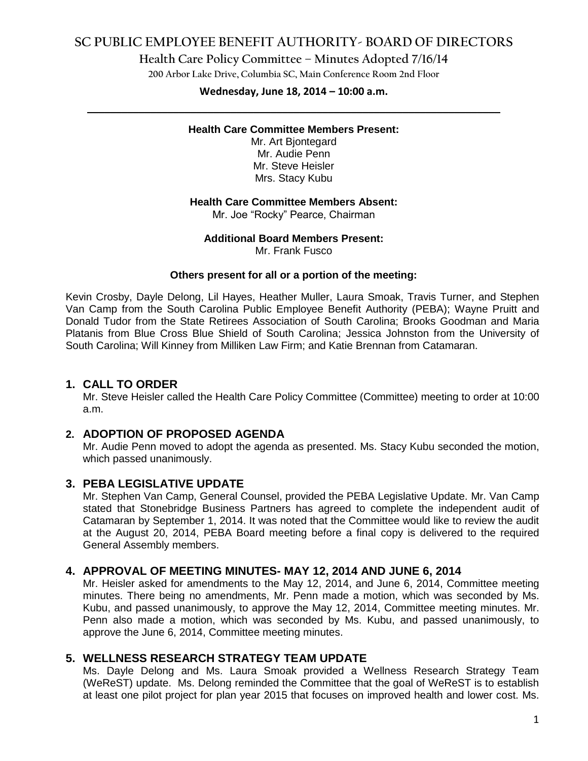# **SC PUBLIC EMPLOYEE BENEFIT AUTHORITY- BOARD OF DIRECTORS**

### **Health Care Policy Committee – Minutes Adopted 7/16/14**

**200 Arbor Lake Drive, Columbia SC, Main Conference Room 2nd Floor**

# **Wednesday, June 18, 2014 – 10:00 a.m. \_\_\_\_\_\_\_\_\_\_\_\_\_\_\_\_\_\_\_\_\_\_\_\_\_\_\_\_\_\_\_\_\_\_\_\_\_\_\_\_\_\_\_\_\_\_\_\_\_\_\_\_\_\_\_\_\_\_\_\_\_\_\_\_\_\_\_\_\_\_\_\_**

#### **Health Care Committee Members Present:**

Mr. Art Bjontegard Mr. Audie Penn Mr. Steve Heisler Mrs. Stacy Kubu

#### **Health Care Committee Members Absent:**

Mr. Joe "Rocky" Pearce, Chairman

#### **Additional Board Members Present:**

Mr. Frank Fusco

#### **Others present for all or a portion of the meeting:**

Kevin Crosby, Dayle Delong, Lil Hayes, Heather Muller, Laura Smoak, Travis Turner, and Stephen Van Camp from the South Carolina Public Employee Benefit Authority (PEBA); Wayne Pruitt and Donald Tudor from the State Retirees Association of South Carolina; Brooks Goodman and Maria Platanis from Blue Cross Blue Shield of South Carolina; Jessica Johnston from the University of South Carolina; Will Kinney from Milliken Law Firm; and Katie Brennan from Catamaran.

### **1. CALL TO ORDER**

Mr. Steve Heisler called the Health Care Policy Committee (Committee) meeting to order at 10:00 a.m.

### **2. ADOPTION OF PROPOSED AGENDA**

Mr. Audie Penn moved to adopt the agenda as presented. Ms. Stacy Kubu seconded the motion, which passed unanimously.

#### **3. PEBA LEGISLATIVE UPDATE**

Mr. Stephen Van Camp, General Counsel, provided the PEBA Legislative Update. Mr. Van Camp stated that Stonebridge Business Partners has agreed to complete the independent audit of Catamaran by September 1, 2014. It was noted that the Committee would like to review the audit at the August 20, 2014, PEBA Board meeting before a final copy is delivered to the required General Assembly members.

#### **4. APPROVAL OF MEETING MINUTES- MAY 12, 2014 AND JUNE 6, 2014**

Mr. Heisler asked for amendments to the May 12, 2014, and June 6, 2014, Committee meeting minutes. There being no amendments, Mr. Penn made a motion, which was seconded by Ms. Kubu, and passed unanimously, to approve the May 12, 2014, Committee meeting minutes. Mr. Penn also made a motion, which was seconded by Ms. Kubu, and passed unanimously, to approve the June 6, 2014, Committee meeting minutes.

#### **5. WELLNESS RESEARCH STRATEGY TEAM UPDATE**

Ms. Dayle Delong and Ms. Laura Smoak provided a Wellness Research Strategy Team (WeReST) update. Ms. Delong reminded the Committee that the goal of WeReST is to establish at least one pilot project for plan year 2015 that focuses on improved health and lower cost. Ms.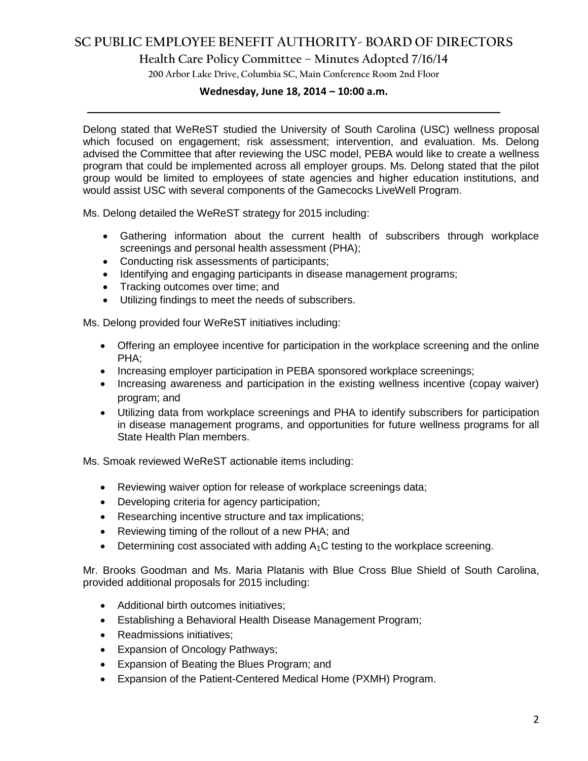# **SC PUBLIC EMPLOYEE BENEFIT AUTHORITY- BOARD OF DIRECTORS**

### **Health Care Policy Committee – Minutes Adopted 7/16/14**

**200 Arbor Lake Drive, Columbia SC, Main Conference Room 2nd Floor**

# **Wednesday, June 18, 2014 – 10:00 a.m. \_\_\_\_\_\_\_\_\_\_\_\_\_\_\_\_\_\_\_\_\_\_\_\_\_\_\_\_\_\_\_\_\_\_\_\_\_\_\_\_\_\_\_\_\_\_\_\_\_\_\_\_\_\_\_\_\_\_\_\_\_\_\_\_\_\_\_\_\_\_\_\_**

Delong stated that WeReST studied the University of South Carolina (USC) wellness proposal which focused on engagement; risk assessment; intervention, and evaluation. Ms. Delong advised the Committee that after reviewing the USC model, PEBA would like to create a wellness program that could be implemented across all employer groups. Ms. Delong stated that the pilot group would be limited to employees of state agencies and higher education institutions, and would assist USC with several components of the Gamecocks LiveWell Program.

Ms. Delong detailed the WeReST strategy for 2015 including:

- Gathering information about the current health of subscribers through workplace screenings and personal health assessment (PHA);
- Conducting risk assessments of participants;
- Identifying and engaging participants in disease management programs;
- Tracking outcomes over time; and
- Utilizing findings to meet the needs of subscribers.

Ms. Delong provided four WeReST initiatives including:

- Offering an employee incentive for participation in the workplace screening and the online PHA;
- Increasing employer participation in PEBA sponsored workplace screenings;
- Increasing awareness and participation in the existing wellness incentive (copay waiver) program; and
- Utilizing data from workplace screenings and PHA to identify subscribers for participation in disease management programs, and opportunities for future wellness programs for all State Health Plan members.

Ms. Smoak reviewed WeReST actionable items including:

- Reviewing waiver option for release of workplace screenings data;
- Developing criteria for agency participation;
- Researching incentive structure and tax implications;
- Reviewing timing of the rollout of a new PHA; and
- $\bullet$  Determining cost associated with adding  $A_1C$  testing to the workplace screening.

Mr. Brooks Goodman and Ms. Maria Platanis with Blue Cross Blue Shield of South Carolina, provided additional proposals for 2015 including:

- Additional birth outcomes initiatives:
- Establishing a Behavioral Health Disease Management Program;
- Readmissions initiatives;
- Expansion of Oncology Pathways;
- Expansion of Beating the Blues Program; and
- Expansion of the Patient-Centered Medical Home (PXMH) Program.